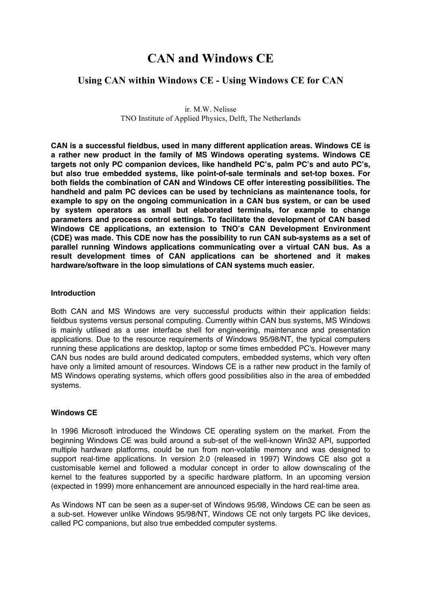# **CAN and Windows CE**

# **Using CAN within Windows CE - Using Windows CE for CAN**

ir. M.W. Nelisse TNO Institute of Applied Physics, Delft, The Netherlands

**CAN is a successful fieldbus, used in many different application areas. Windows CE is a rather new product in the family of MS Windows operating systems. Windows CE targets not only PC companion devices, like handheld PC's, palm PC's and auto PC's, but also true embedded systems, like point-of-sale terminals and set-top boxes. For both fields the combination of CAN and Windows CE offer interesting possibilities. The handheld and palm PC devices can be used by technicians as maintenance tools, for example to spy on the ongoing communication in a CAN bus system, or can be used by system operators as small but elaborated terminals, for example to change parameters and process control settings. To facilitate the development of CAN based Windows CE applications, an extension to TNO's CAN Development Environment (CDE) was made. This CDE now has the possibility to run CAN sub-systems as a set of parallel running Windows applications communicating over a virtual CAN bus. As a result development times of CAN applications can be shortened and it makes hardware/software in the loop simulations of CAN systems much easier.**

#### **Introduction**

Both CAN and MS Windows are very successful products within their application fields: fieldbus systems versus personal computing. Currently within CAN bus systems, MS Windows is mainly utilised as a user interface shell for engineering, maintenance and presentation applications. Due to the resource requirements of Windows 95/98/NT, the typical computers running these applications are desktop, laptop or some times embedded PC's. However many CAN bus nodes are build around dedicated computers, embedded systems, which very often have only a limited amount of resources. Windows CE is a rather new product in the family of MS Windows operating systems, which offers good possibilities also in the area of embedded systems.

#### **Windows CE**

In 1996 Microsoft introduced the Windows CE operating system on the market. From the beginning Windows CE was build around a sub-set of the well-known Win32 API, supported multiple hardware platforms, could be run from non-volatile memory and was designed to support real-time applications. In version 2.0 (released in 1997) Windows CE also got a customisable kernel and followed a modular concept in order to allow downscaling of the kernel to the features supported by a specific hardware platform. In an upcoming version (expected in 1999) more enhancement are announced especially in the hard real-time area.

As Windows NT can be seen as a super-set of Windows 95/98, Windows CE can be seen as a sub-set. However unlike Windows 95/98/NT, Windows CE not only targets PC like devices, called PC companions, but also true embedded computer systems.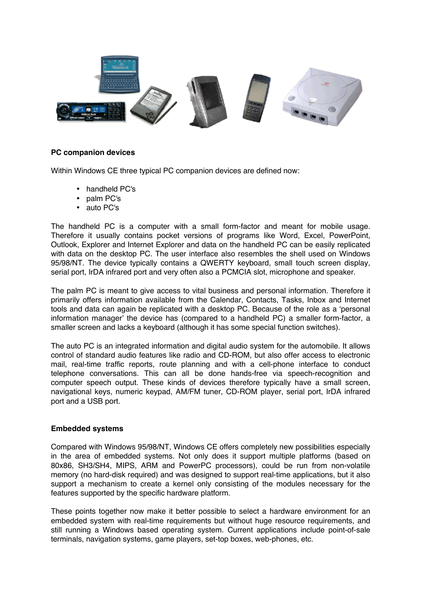

## **PC companion devices**

Within Windows CE three typical PC companion devices are defined now:

- handheld PC's
- palm PC's
- auto PC's

The handheld PC is a computer with a small form-factor and meant for mobile usage. Therefore it usually contains pocket versions of programs like Word, Excel, PowerPoint, Outlook, Explorer and Internet Explorer and data on the handheld PC can be easily replicated with data on the desktop PC. The user interface also resembles the shell used on Windows 95/98/NT. The device typically contains a QWERTY keyboard, small touch screen display, serial port, IrDA infrared port and very often also a PCMCIA slot, microphone and speaker.

The palm PC is meant to give access to vital business and personal information. Therefore it primarily offers information available from the Calendar, Contacts, Tasks, Inbox and Internet tools and data can again be replicated with a desktop PC. Because of the role as a 'personal information manager' the device has (compared to a handheld PC) a smaller form-factor, a smaller screen and lacks a keyboard (although it has some special function switches).

The auto PC is an integrated information and digital audio system for the automobile. It allows control of standard audio features like radio and CD-ROM, but also offer access to electronic mail, real-time traffic reports, route planning and with a cell-phone interface to conduct telephone conversations. This can all be done hands-free via speech-recognition and computer speech output. These kinds of devices therefore typically have a small screen, navigational keys, numeric keypad, AM/FM tuner, CD-ROM player, serial port, IrDA infrared port and a USB port.

#### **Embedded systems**

Compared with Windows 95/98/NT, Windows CE offers completely new possibilities especially in the area of embedded systems. Not only does it support multiple platforms (based on 80x86, SH3/SH4, MIPS, ARM and PowerPC processors), could be run from non-volatile memory (no hard-disk required) and was designed to support real-time applications, but it also support a mechanism to create a kernel only consisting of the modules necessary for the features supported by the specific hardware platform.

These points together now make it better possible to select a hardware environment for an embedded system with real-time requirements but without huge resource requirements, and still running a Windows based operating system. Current applications include point-of-sale terminals, navigation systems, game players, set-top boxes, web-phones, etc.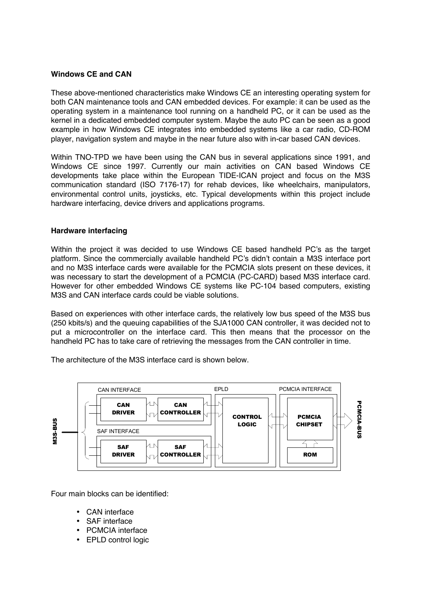#### **Windows CE and CAN**

These above-mentioned characteristics make Windows CE an interesting operating system for both CAN maintenance tools and CAN embedded devices. For example: it can be used as the operating system in a maintenance tool running on a handheld PC, or it can be used as the kernel in a dedicated embedded computer system. Maybe the auto PC can be seen as a good example in how Windows CE integrates into embedded systems like a car radio, CD-ROM player, navigation system and maybe in the near future also with in-car based CAN devices.

Within TNO-TPD we have been using the CAN bus in several applications since 1991, and Windows CE since 1997. Currently our main activities on CAN based Windows CE developments take place within the European TIDE-ICAN project and focus on the M3S communication standard (ISO 7176-17) for rehab devices, like wheelchairs, manipulators, environmental control units, joysticks, etc. Typical developments within this project include hardware interfacing, device drivers and applications programs.

### **Hardware interfacing**

Within the project it was decided to use Windows CE based handheld PC's as the target platform. Since the commercially available handheld PC's didn't contain a M3S interface port and no M3S interface cards were available for the PCMCIA slots present on these devices, it was necessary to start the development of a PCMCIA (PC-CARD) based M3S interface card. However for other embedded Windows CE systems like PC-104 based computers, existing M3S and CAN interface cards could be viable solutions.

Based on experiences with other interface cards, the relatively low bus speed of the M3S bus (250 kbits/s) and the queuing capabilities of the SJA1000 CAN controller, it was decided not to put a microcontroller on the interface card. This then means that the processor on the handheld PC has to take care of retrieving the messages from the CAN controller in time.

The architecture of the M3S interface card is shown below.



Four main blocks can be identified:

- CAN interface
- SAF interface
- PCMCIA interface
- EPLD control logic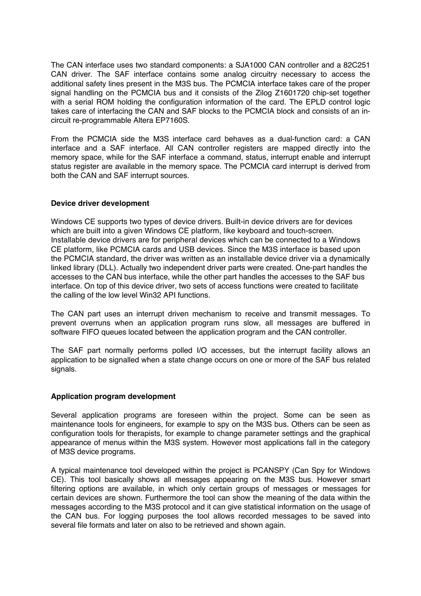The CAN interface uses two standard components: a SJA1000 CAN controller and a 82C251 CAN driver. The SAF interface contains some analog circuitry necessary to access the additional safety lines present in the M3S bus. The PCMCIA interface takes care of the proper signal handling on the PCMCIA bus and it consists of the Zilog Z1601720 chip-set together with a serial ROM holding the configuration information of the card. The EPLD control logic takes care of interfacing the CAN and SAF blocks to the PCMCIA block and consists of an incircuit re-programmable Altera EP7160S.

From the PCMCIA side the M3S interface card behaves as a dual-function card: a CAN interface and a SAF interface. All CAN controller registers are mapped directly into the memory space, while for the SAF interface a command, status, interrupt enable and interrupt status register are available in the memory space. The PCMCIA card interrupt is derived from both the CAN and SAF interrupt sources.

# **Device driver development**

Windows CE supports two types of device drivers. Built-in device drivers are for devices which are built into a given Windows CE platform, like keyboard and touch-screen. Installable device drivers are for peripheral devices which can be connected to a Windows CE platform, like PCMCIA cards and USB devices. Since the M3S interface is based upon the PCMCIA standard, the driver was written as an installable device driver via a dynamically linked library (DLL). Actually two independent driver parts were created. One-part handles the accesses to the CAN bus interface, while the other part handles the accesses to the SAF bus interface. On top of this device driver, two sets of access functions were created to facilitate the calling of the low level Win32 API functions.

The CAN part uses an interrupt driven mechanism to receive and transmit messages. To prevent overruns when an application program runs slow, all messages are buffered in software FIFO queues located between the application program and the CAN controller.

The SAF part normally performs polled I/O accesses, but the interrupt facility allows an application to be signalled when a state change occurs on one or more of the SAF bus related signals.

# **Application program development**

Several application programs are foreseen within the project. Some can be seen as maintenance tools for engineers, for example to spy on the M3S bus. Others can be seen as configuration tools for therapists, for example to change parameter settings and the graphical appearance of menus within the M3S system. However most applications fall in the category of M3S device programs.

A typical maintenance tool developed within the project is PCANSPY (Can Spy for Windows CE). This tool basically shows all messages appearing on the M3S bus. However smart filtering options are available, in which only certain groups of messages or messages for certain devices are shown. Furthermore the tool can show the meaning of the data within the messages according to the M3S protocol and it can give statistical information on the usage of the CAN bus. For logging purposes the tool allows recorded messages to be saved into several file formats and later on also to be retrieved and shown again.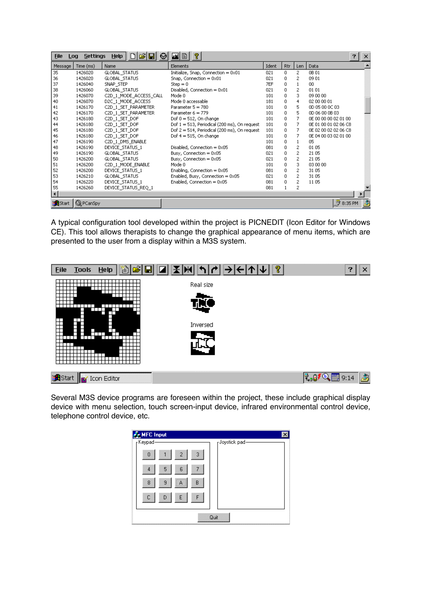| P.<br>MIB<br><b>Settings</b><br><b>Help</b><br>⊌<br><b>File</b><br>$\times$<br>Log<br>7 |                  |                        |                                                 |       |             |                |                                         |
|-----------------------------------------------------------------------------------------|------------------|------------------------|-------------------------------------------------|-------|-------------|----------------|-----------------------------------------|
| Message                                                                                 | Time (ms)        | Name                   | Elements                                        | Ident | Rtr         | Len            | Data                                    |
| 35                                                                                      | 1426020          | GLOBAL_STATUS          | Initialize, Snap, Connection $= 0 \times 01$    | 021   | 0.          | 2              | 0B 01                                   |
| 36                                                                                      | 1426020          | GLOBAL_STATUS          | Snap, Connection $= 0 \times 01$                | 021   | 0           | 2              | 0901                                    |
| 37                                                                                      | 1426040          | SNAP STEP              | $Step = 0$                                      | 7EF   | 0           | $\mathbf{1}$   | 00                                      |
| 38                                                                                      | 1426060          | GLOBAL_STATUS          | Disabled, Connection = $0 \times 01$            | 021   | 0           | $\mathbf{2}$   | 01 01                                   |
| 39                                                                                      | 1426070          | C2D_1_MODE_ACCESS_CALL | Mode 0                                          | 101   | 0           | 3.             | 09 00 00                                |
| 40                                                                                      | 1426070          | D2C 1 MODE ACCESS      | Mode 0 accessable                               | 181   | 0           | 4              | 02 00 00 01                             |
| 41                                                                                      | 1426170          | C2D_1_SET_PARAMETER    | Parameter $5 = 780$                             | 101   | 0           | 5              | OD 05 00 0C 03                          |
| 42                                                                                      | 1426170          | C2D 1 SET PARAMETER    | Parameter $6 = 779$                             | 101   | 0           | 5              | OD 06 00 0B 03                          |
| 43                                                                                      | 1426180          | C2D 1 SET DOF          | Dof $0 = 512$ , On change                       | 101   | $\mathbf 0$ | 7              | OE 00 00 00 02 01 00                    |
| 44                                                                                      | 1426180          | C2D_1_SET_DOF          | Dof $1 = 513$ , Periodical (200 ms), On request | 101   | 0           | 7              | 0E 01 00 01 02 06 C8                    |
| 45                                                                                      | 1426180          | C2D 1 SET DOF          | Dof 2 = 514, Periodical (200 ms), On request    | 101   | 0           | 7              | OE 02 00 02 02 06 C8                    |
| 46                                                                                      | 1426180          | C2D 1 SET DOF          | Dof $4 = 515$ , On change                       | 101   | 0.          | 7              | OE 04 00 03 02 01 00                    |
| 47                                                                                      | 1426190          | C2D_1_DMS_ENABLE       |                                                 | 101   | 0           | $\mathbf{1}$   | 05                                      |
| 48                                                                                      | 1426190          | DEVICE STATUS 1        | Disabled, Connection $= 0 \times 05$            | 081   | 0           | 2              | 01 05                                   |
| 49                                                                                      | 1426190          | GLOBAL_STATUS          | Busy, Connection = 0x05                         | 021   | 0           | $\mathbf{2}$   | 21 05                                   |
| 50                                                                                      | 1426200          | GLOBAL_STATUS          | Busy, Connection = $0x05$                       | 021   | 0           | $\mathbf{2}$   | 21 05                                   |
| 51                                                                                      | 1426200          | C2D 1 MODE ENABLE      | Mode 0                                          | 101   | 0           | 3              | 03 00 00                                |
| 52                                                                                      | 1426200          | DEVICE_STATUS_1        | Enabling, Connection = $0 \times 05$            | 081   | 0           | $\mathbf{2}$   | 31 05                                   |
| 53                                                                                      | 1426210          | GLOBAL_STATUS          | Enabled, Busy, Connection = 0x05                | 021   | 0           | $\mathbf{2}$   | 31 05                                   |
| 54                                                                                      | 1426220          | DEVICE STATUS 1        | Enabled, Connection = 0x05                      | 081   | 0.          | $\overline{2}$ | 1105                                    |
| 55                                                                                      | 1426260          | DEVICE_STATUS_REQ_1    |                                                 | 081   |             | 2              |                                         |
|                                                                                         |                  |                        |                                                 |       |             |                |                                         |
| <b>B</b> Start                                                                          | <b>Q</b> PCanSpy |                        |                                                 |       |             |                | $\overline{\mathcal{G}}$ 8:35 PM<br>رقي |

A typical configuration tool developed within the project is PICNEDIT (Icon Editor for Windows CE). This tool allows therapists to change the graphical appearance of menu items, which are presented to the user from a display within a M3S system.



Several M3S device programs are foreseen within the project, these include graphical display device with menu selection, touch screen-input device, infrared environmental control device, telephone control device, etc.

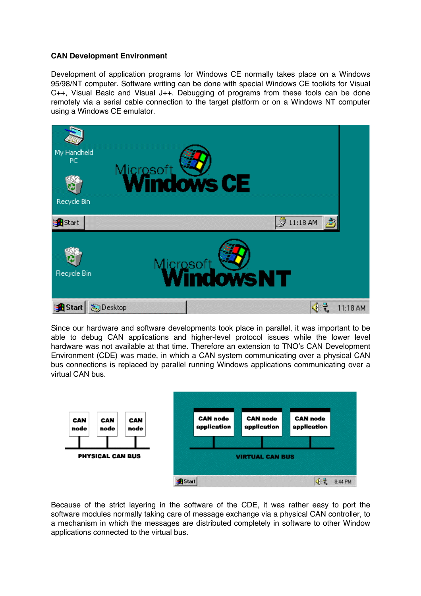# **CAN Development Environment**

Development of application programs for Windows CE normally takes place on a Windows 95/98/NT computer. Software writing can be done with special Windows CE toolkits for Visual C++, Visual Basic and Visual J++. Debugging of programs from these tools can be done remotely via a serial cable connection to the target platform or on a Windows NT computer using a Windows CE emulator.



Since our hardware and software developments took place in parallel, it was important to be able to debug CAN applications and higher-level protocol issues while the lower level hardware was not available at that time. Therefore an extension to TNO's CAN Development Environment (CDE) was made, in which a CAN system communicating over a physical CAN bus connections is replaced by parallel running Windows applications communicating over a virtual CAN bus.



Because of the strict layering in the software of the CDE, it was rather easy to port the software modules normally taking care of message exchange via a physical CAN controller, to a mechanism in which the messages are distributed completely in software to other Window applications connected to the virtual bus.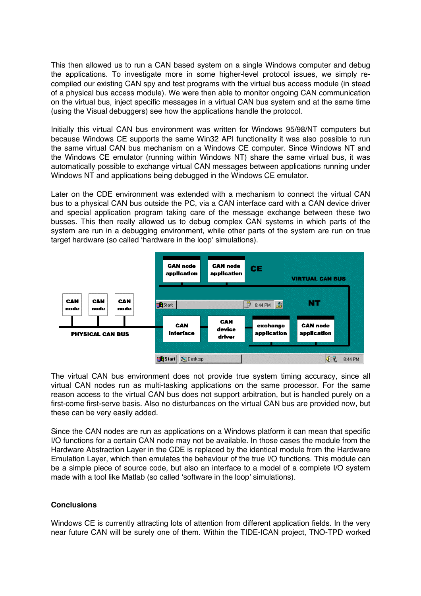This then allowed us to run a CAN based system on a single Windows computer and debug the applications. To investigate more in some higher-level protocol issues, we simply recompiled our existing CAN spy and test programs with the virtual bus access module (in stead of a physical bus access module). We were then able to monitor ongoing CAN communication on the virtual bus, inject specific messages in a virtual CAN bus system and at the same time (using the Visual debuggers) see how the applications handle the protocol.

Initially this virtual CAN bus environment was written for Windows 95/98/NT computers but because Windows CE supports the same Win32 API functionality it was also possible to run the same virtual CAN bus mechanism on a Windows CE computer. Since Windows NT and the Windows CE emulator (running within Windows NT) share the same virtual bus, it was automatically possible to exchange virtual CAN messages between applications running under Windows NT and applications being debugged in the Windows CE emulator.

Later on the CDE environment was extended with a mechanism to connect the virtual CAN bus to a physical CAN bus outside the PC, via a CAN interface card with a CAN device driver and special application program taking care of the message exchange between these two busses. This then really allowed us to debug complex CAN systems in which parts of the system are run in a debugging environment, while other parts of the system are run on true target hardware (so called 'hardware in the loop' simulations).



The virtual CAN bus environment does not provide true system timing accuracy, since all virtual CAN nodes run as multi-tasking applications on the same processor. For the same reason access to the virtual CAN bus does not support arbitration, but is handled purely on a first-come first-serve basis. Also no disturbances on the virtual CAN bus are provided now, but these can be very easily added.

Since the CAN nodes are run as applications on a Windows platform it can mean that specific I/O functions for a certain CAN node may not be available. In those cases the module from the Hardware Abstraction Layer in the CDE is replaced by the identical module from the Hardware Emulation Layer, which then emulates the behaviour of the true I/O functions. This module can be a simple piece of source code, but also an interface to a model of a complete I/O system made with a tool like Matlab (so called 'software in the loop' simulations).

# **Conclusions**

Windows CE is currently attracting lots of attention from different application fields. In the very near future CAN will be surely one of them. Within the TIDE-ICAN project, TNO-TPD worked